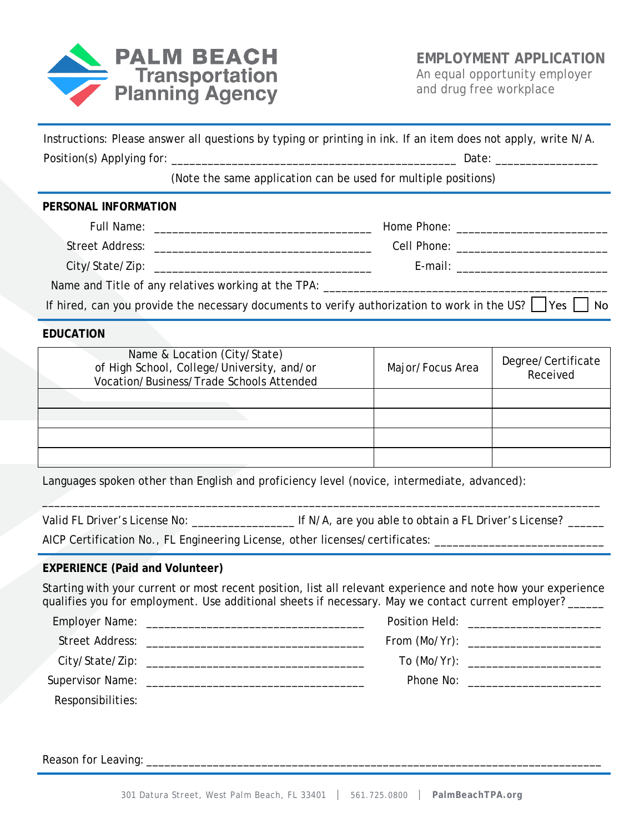

| Instructions: Please answer all questions by typing or printing in ink. If an item does not apply, write N/A.                                                                                                             |                                                                |                                         |  |
|---------------------------------------------------------------------------------------------------------------------------------------------------------------------------------------------------------------------------|----------------------------------------------------------------|-----------------------------------------|--|
|                                                                                                                                                                                                                           |                                                                |                                         |  |
|                                                                                                                                                                                                                           | (Note the same application can be used for multiple positions) |                                         |  |
| PERSONAL INFORMATION                                                                                                                                                                                                      |                                                                |                                         |  |
|                                                                                                                                                                                                                           |                                                                |                                         |  |
|                                                                                                                                                                                                                           |                                                                |                                         |  |
|                                                                                                                                                                                                                           |                                                                |                                         |  |
|                                                                                                                                                                                                                           |                                                                |                                         |  |
| If hired, can you provide the necessary documents to verify authorization to work in the US? $\Box$ Yes $\Box$ No                                                                                                         |                                                                |                                         |  |
| <b>EDUCATION</b>                                                                                                                                                                                                          |                                                                |                                         |  |
| Name & Location (City/State)<br>of High School, College/University, and/or<br>Vocation/Business/Trade Schools Attended                                                                                                    | Major/Focus Area                                               | Degree/Certificate<br>Received          |  |
| the contract of the contract of the contract of the contract of the contract of                                                                                                                                           |                                                                |                                         |  |
|                                                                                                                                                                                                                           |                                                                |                                         |  |
|                                                                                                                                                                                                                           |                                                                |                                         |  |
|                                                                                                                                                                                                                           |                                                                |                                         |  |
| Languages spoken other than English and proficiency level (novice, intermediate, advanced):                                                                                                                               |                                                                |                                         |  |
|                                                                                                                                                                                                                           |                                                                |                                         |  |
| AICP Certification No., FL Engineering License, other licenses/certificates: ________________________________                                                                                                             |                                                                |                                         |  |
| <b>EXPERIENCE (Paid and Volunteer)</b>                                                                                                                                                                                    |                                                                |                                         |  |
| Starting with your current or most recent position, list all relevant experience and note how your experience<br>qualifies you for employment. Use additional sheets if necessary. May we contact current employer? _____ |                                                                |                                         |  |
|                                                                                                                                                                                                                           |                                                                | Position Held: ________________________ |  |
| <b>Street Address:</b>                                                                                                                                                                                                    | From (Mo/Yr):                                                  |                                         |  |

301 Datura Street, West Palm Beach, FL 33401 │ 561.725.0800 │ **PalmBeachTPA.org**

City/State/Zip: \_\_\_\_\_\_\_\_\_\_\_\_\_\_\_\_\_\_\_\_\_\_\_\_\_\_\_\_\_\_\_\_\_\_\_\_ To (Mo/Yr): \_\_\_\_\_\_\_\_\_\_\_\_\_\_\_\_\_\_\_\_\_\_

Supervisor Name: \_\_\_\_\_\_\_\_\_\_\_\_\_\_\_\_\_\_\_\_\_\_\_\_\_\_\_\_\_\_\_\_\_\_\_\_ Phone No: \_\_\_\_\_\_\_\_\_\_\_\_\_\_\_\_\_\_\_\_\_\_

Reason for Leaving: \_\_\_\_\_\_\_\_\_\_\_\_\_\_\_\_\_\_\_\_\_\_\_\_\_\_\_\_\_\_\_\_\_\_\_\_\_\_\_\_\_\_\_\_\_\_\_\_\_\_\_\_\_\_\_\_\_\_\_\_\_\_\_\_\_\_\_\_\_\_\_\_\_\_\_

Responsibilities: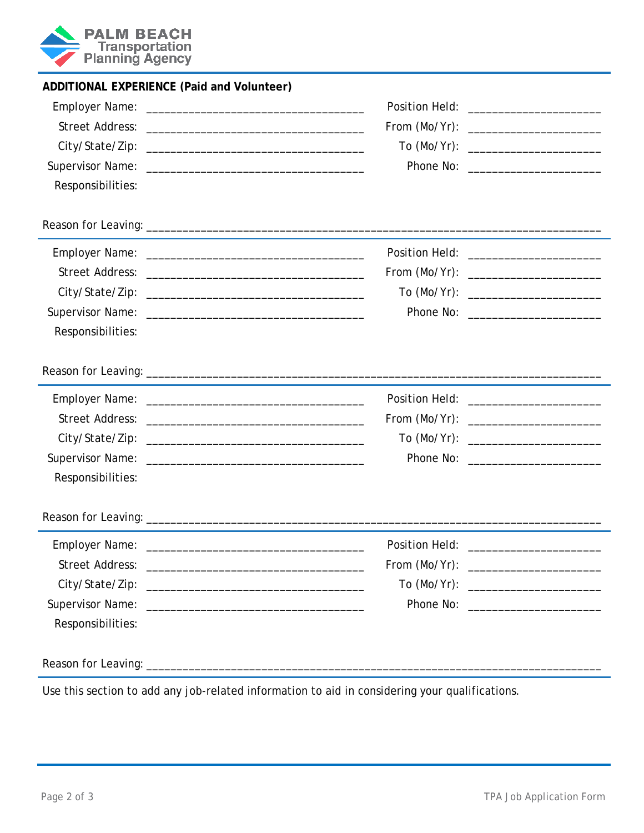

| ADDITIONAL EXPERIENCE (Paid and Volunteer) |                                           |  |
|--------------------------------------------|-------------------------------------------|--|
|                                            | Position Held: _________________________  |  |
|                                            | From (Mo/Yr): __________________________  |  |
|                                            | To (Mo/Yr): ________________________      |  |
|                                            |                                           |  |
| Responsibilities:                          |                                           |  |
|                                            |                                           |  |
|                                            | Position Held: __________________________ |  |
|                                            | From (Mo/Yr): __________________________  |  |
|                                            | To (Mo/Yr): _________________________     |  |
|                                            |                                           |  |
| Responsibilities:                          |                                           |  |
|                                            |                                           |  |
|                                            |                                           |  |
|                                            | From (Mo/Yr): _________________________   |  |
|                                            | To (Mo/Yr): ________________________      |  |
|                                            |                                           |  |
| Responsibilities:                          |                                           |  |
|                                            |                                           |  |
|                                            |                                           |  |
|                                            | From (Mo/Yr): __________________________  |  |
|                                            | To (Mo/Yr): ________________________      |  |
|                                            |                                           |  |
| Responsibilities:                          |                                           |  |
|                                            |                                           |  |

Use this section to add any job-related information to aid in considering your qualifications.